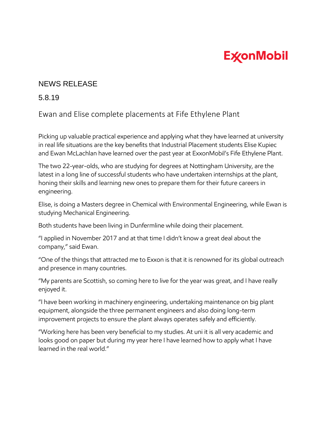## **ExconMobil**

## NEWS RELEASE

5.8.19

Ewan and Elise complete placements at Fife Ethylene Plant

Picking up valuable practical experience and applying what they have learned at university in real life situations are the key benefits that Industrial Placement students Elise Kupiec and Ewan McLachlan have learned over the past year at ExxonMobil's Fife Ethylene Plant.

The two 22-year-olds, who are studying for degrees at Nottingham University, are the latest in a long line of successful students who have undertaken internships at the plant, honing their skills and learning new ones to prepare them for their future careers in engineering.

Elise, is doing a Masters degree in Chemical with Environmental Engineering, while Ewan is studying Mechanical Engineering.

Both students have been living in Dunfermline while doing their placement.

"I applied in November 2017 and at that time I didn't know a great deal about the company," said Ewan.

"One of the things that attracted me to Exxon is that it is renowned for its global outreach and presence in many countries.

"My parents are Scottish, so coming here to live for the year was great, and I have really enjoyed it.

"I have been working in machinery engineering, undertaking maintenance on big plant equipment, alongside the three permanent engineers and also doing long-term improvement projects to ensure the plant always operates safely and efficiently.

"Working here has been very beneficial to my studies. At uni it is all very academic and looks good on paper but during my year here I have learned how to apply what I have learned in the real world."